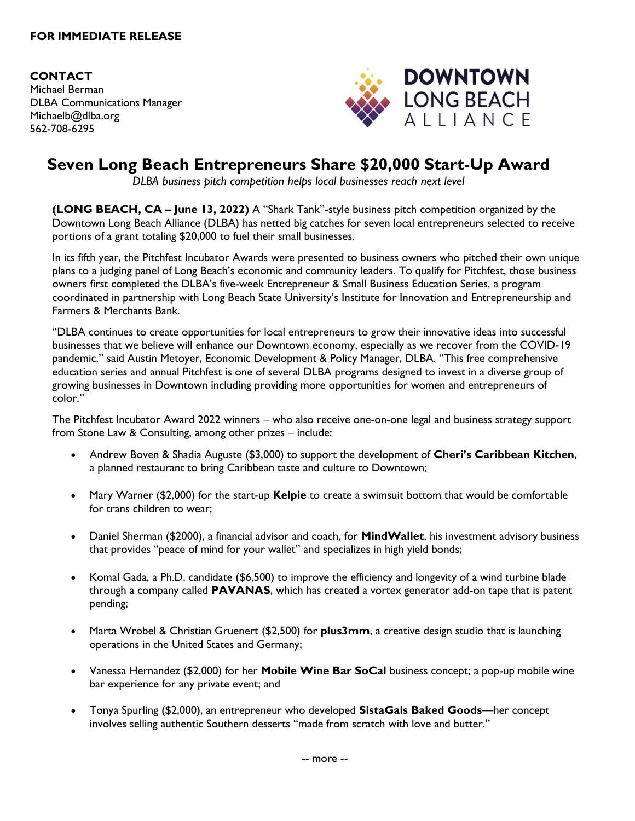## **FOR IMMEDIATE RELEASE**

**CONTACT** Michael Berman DLBA Communications Manager Michaelb@dlba.org 562-708-6295



## **Seven Long Beach Entrepreneurs Share \$20,000 Start-Up Award**

*DLBA business pitch competition helps local businesses reach next level*

**(LONG BEACH, CA – June 13, 2022)** A "Shark Tank"-style business pitch competition organized by the Downtown Long Beach Alliance (DLBA) has netted big catches for seven local entrepreneurs selected to receive portions of a grant totaling \$20,000 to fuel their small businesses.

In its fifth year, the Pitchfest Incubator Awards were presented to business owners who pitched their own unique plans to a judging panel of Long Beach's economic and community leaders. To qualify for Pitchfest, those business owners first completed the DLBA's five-week Entrepreneur & Small Business Education Series, a program coordinated in partnership with Long Beach State University's Institute for Innovation and Entrepreneurship and Farmers & Merchants Bank.

"DLBA continues to create opportunities for local entrepreneurs to grow their innovative ideas into successful businesses that we believe will enhance our Downtown economy, especially as we recover from the COVID-19 pandemic," said Austin Metoyer, Economic Development & Policy Manager, DLBA. "This free comprehensive education series and annual Pitchfest is one of several DLBA programs designed to invest in a diverse group of growing businesses in Downtown including providing more opportunities for women and entrepreneurs of color."

The Pitchfest Incubator Award 2022 winners – who also receive one-on-one legal and business strategy support from Stone Law & Consulting, among other prizes – include:

- Andrew Boven & Shadia Auguste (\$3,000) to support the development of **Cheri's Caribbean Kitchen**, a planned restaurant to bring Caribbean taste and culture to Downtown;
- Mary Warner (\$2,000) for the start-up **Kelpie** to create a swimsuit bottom that would be comfortable for trans children to wear;
- Daniel Sherman (\$2000), a financial advisor and coach, for **MindWallet**, his investment advisory business that provides "peace of mind for your wallet" and specializes in high yield bonds;
- Komal Gada, a Ph.D. candidate (\$6,500) to improve the efficiency and longevity of a wind turbine blade through a company called **PAVANAS**, which has created a vortex generator add-on tape that is patent pending;
- Marta Wrobel & Christian Gruenert (\$2,500) for **plus3mm**, a creative design studio that is launching operations in the United States and Germany;
- Vanessa Hernandez (\$2,000) for her **Mobile Wine Bar SoCal** business concept; a pop-up mobile wine bar experience for any private event; and
- Tonya Spurling (\$2,000), an entrepreneur who developed **SistaGals Baked Goods**—her concept involves selling authentic Southern desserts "made from scratch with love and butter."